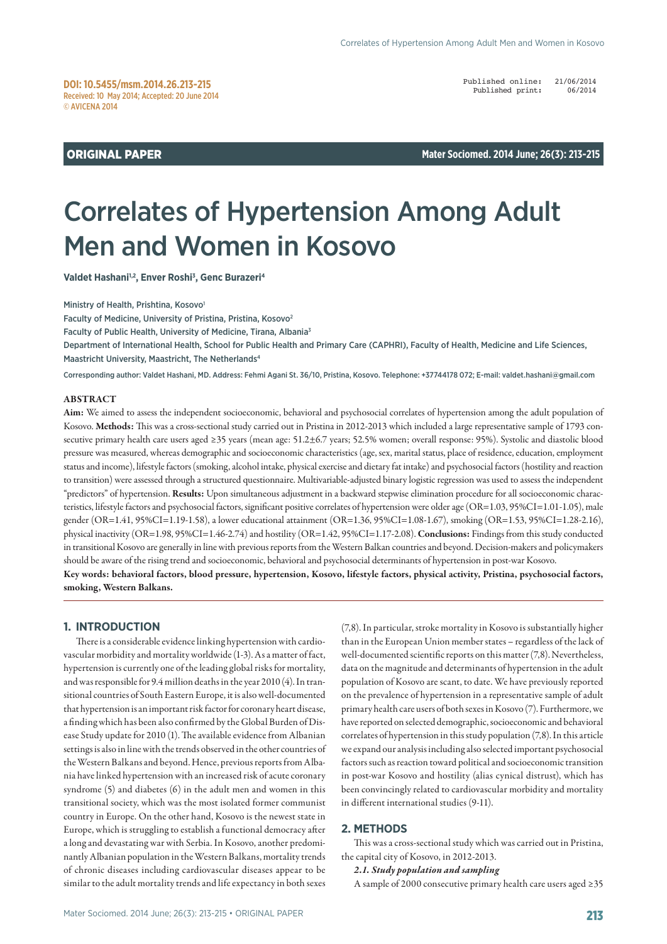Published online: 21/06/2014<br>Published print: 06/2014 Published print:

**ORIGINAL PAPER Mater Sociomed. 2014 June; 26(3): 213-215** 

# Correlates of Hypertension Among Adult Men and Women in Kosovo

**Valdet Hashani1,2, Enver Roshi3 , Genc Burazeri4**

Ministry of Health, Prishtina, Kosovo<sup>1</sup>

Faculty of Medicine, University of Pristina, Pristina, Kosovo<sup>2</sup> Faculty of Public Health, University of Medicine, Tirana, Albania3 Department of International Health, School for Public Health and Primary Care (CAPHRI), Faculty of Health, Medicine and Life Sciences, Maastricht University, Maastricht, The Netherlands4

Corresponding author: Valdet Hashani, MD. Address: Fehmi Agani St. 36/10, Pristina, Kosovo. Telephone: +37744178 072; E-mail: valdet.hashani@gmail.com

#### ABSTRACT

Aim: We aimed to assess the independent socioeconomic, behavioral and psychosocial correlates of hypertension among the adult population of Kosovo. Methods: This was a cross-sectional study carried out in Pristina in 2012-2013 which included a large representative sample of 1793 consecutive primary health care users aged ≥35 years (mean age: 51.2±6.7 years; 52.5% women; overall response: 95%). Systolic and diastolic blood pressure was measured, whereas demographic and socioeconomic characteristics (age, sex, marital status, place of residence, education, employment status and income), lifestyle factors (smoking, alcohol intake, physical exercise and dietary fat intake) and psychosocial factors (hostility and reaction to transition) were assessed through a structured questionnaire. Multivariable-adjusted binary logistic regression was used to assess the independent "predictors" of hypertension. Results: Upon simultaneous adjustment in a backward stepwise elimination procedure for all socioeconomic characteristics, lifestyle factors and psychosocial factors, significant positive correlates of hypertension were older age (OR=1.03, 95%CI=1.01-1.05), male gender (OR=1.41, 95%CI=1.19-1.58), a lower educational attainment (OR=1.36, 95%CI=1.08-1.67), smoking (OR=1.53, 95%CI=1.28-2.16), physical inactivity (OR=1.98, 95%CI=1.46-2.74) and hostility (OR=1.42, 95%CI=1.17-2.08). Conclusions: Findings from this study conducted in transitional Kosovo are generally in line with previous reports from the Western Balkan countries and beyond. Decision-makers and policymakers should be aware of the rising trend and socioeconomic, behavioral and psychosocial determinants of hypertension in post-war Kosovo. Key words: behavioral factors, blood pressure, hypertension, Kosovo, lifestyle factors, physical activity, Pristina, psychosocial factors, smoking, Western Balkans.

## **1. INTRODUCTION**

There is a considerable evidence linking hypertension with cardiovascular morbidity and mortality worldwide (1-3). As a matter of fact, hypertension is currently one of the leading global risks for mortality, and was responsible for 9.4 million deaths in the year 2010 (4). In transitional countries of South Eastern Europe, it is also well-documented that hypertension is an important risk factor for coronary heart disease, a finding which has been also confirmed by the Global Burden of Disease Study update for 2010 (1). The available evidence from Albanian settings is also in line with the trends observed in the other countries of the Western Balkans and beyond. Hence, previous reports from Albania have linked hypertension with an increased risk of acute coronary syndrome (5) and diabetes (6) in the adult men and women in this transitional society, which was the most isolated former communist country in Europe. On the other hand, Kosovo is the newest state in Europe, which is struggling to establish a functional democracy after a long and devastating war with Serbia. In Kosovo, another predominantly Albanian population in the Western Balkans, mortality trends of chronic diseases including cardiovascular diseases appear to be similar to the adult mortality trends and life expectancy in both sexes

(7,8). In particular, stroke mortality in Kosovo is substantially higher than in the European Union member states – regardless of the lack of well-documented scientific reports on this matter (7,8). Nevertheless, data on the magnitude and determinants of hypertension in the adult population of Kosovo are scant, to date. We have previously reported on the prevalence of hypertension in a representative sample of adult primary health care users of both sexes in Kosovo (7). Furthermore, we have reported on selected demographic, socioeconomic and behavioral correlates of hypertension in this study population (7,8). In this article we expand our analysis including also selected important psychosocial factors such as reaction toward political and socioeconomic transition in post-war Kosovo and hostility (alias cynical distrust), which has been convincingly related to cardiovascular morbidity and mortality in different international studies (9-11).

## **2. METHODS**

This was a cross-sectional study which was carried out in Pristina, the capital city of Kosovo, in 2012-2013.

*2.1. Study population and sampling*

A sample of 2000 consecutive primary health care users aged ≥35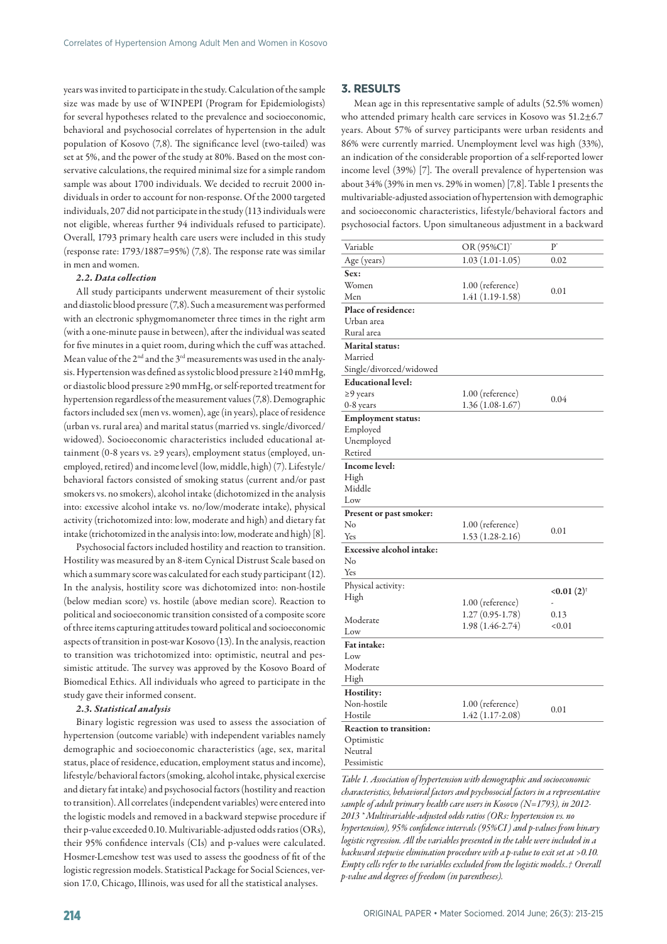years was invited to participate in the study. Calculation of the sample size was made by use of WINPEPI (Program for Epidemiologists) for several hypotheses related to the prevalence and socioeconomic, behavioral and psychosocial correlates of hypertension in the adult population of Kosovo (7,8). The significance level (two-tailed) was set at 5%, and the power of the study at 80%. Based on the most conservative calculations, the required minimal size for a simple random sample was about 1700 individuals. We decided to recruit 2000 individuals in order to account for non-response. Of the 2000 targeted individuals, 207 did not participate in the study (113 individuals were not eligible, whereas further 94 individuals refused to participate). Overall, 1793 primary health care users were included in this study (response rate: 1793/1887=95%) (7,8). The response rate was similar in men and women.

#### *2.2. Data collection*

All study participants underwent measurement of their systolic and diastolic blood pressure (7,8). Such a measurement was performed with an electronic sphygmomanometer three times in the right arm (with a one-minute pause in between), after the individual was seated for five minutes in a quiet room, during which the cuff was attached. Mean value of the 2<sup>nd</sup> and the 3<sup>rd</sup> measurements was used in the analysis. Hypertension was defined as systolic blood pressure ≥140 mmHg, or diastolic blood pressure ≥90 mmHg, or self-reported treatment for hypertension regardless of the measurement values (7,8). Demographic factors included sex (men vs. women), age (in years), place of residence (urban vs. rural area) and marital status (married vs. single/divorced/ widowed). Socioeconomic characteristics included educational attainment (0-8 years vs. ≥9 years), employment status (employed, unemployed, retired) and income level (low, middle, high) (7). Lifestyle/ behavioral factors consisted of smoking status (current and/or past smokers vs. no smokers), alcohol intake (dichotomized in the analysis into: excessive alcohol intake vs. no/low/moderate intake), physical activity (trichotomized into: low, moderate and high) and dietary fat intake (trichotomized in the analysis into: low, moderate and high) [8].

Psychosocial factors included hostility and reaction to transition. Hostility was measured by an 8-item Cynical Distrust Scale based on which a summary score was calculated for each study participant (12). In the analysis, hostility score was dichotomized into: non-hostile (below median score) vs. hostile (above median score). Reaction to political and socioeconomic transition consisted of a composite score of three items capturing attitudes toward political and socioeconomic aspects of transition in post-war Kosovo (13). In the analysis, reaction to transition was trichotomized into: optimistic, neutral and pessimistic attitude. The survey was approved by the Kosovo Board of Biomedical Ethics. All individuals who agreed to participate in the study gave their informed consent.

#### *2.3. Statistical analysis*

Binary logistic regression was used to assess the association of hypertension (outcome variable) with independent variables namely demographic and socioeconomic characteristics (age, sex, marital status, place of residence, education, employment status and income), lifestyle/behavioral factors (smoking, alcohol intake, physical exercise and dietary fat intake) and psychosocial factors (hostility and reaction to transition). All correlates (independent variables) were entered into the logistic models and removed in a backward stepwise procedure if their p-value exceeded 0.10. Multivariable-adjusted odds ratios (ORs), their 95% confidence intervals (CIs) and p-values were calculated. Hosmer-Lemeshow test was used to assess the goodness of fit of the logistic regression models. Statistical Package for Social Sciences, version 17.0, Chicago, Illinois, was used for all the statistical analyses.

## **3. RESULTS**

Mean age in this representative sample of adults (52.5% women) who attended primary health care services in Kosovo was 51.2±6.7 years. About 57% of survey participants were urban residents and 86% were currently married. Unemployment level was high (33%), an indication of the considerable proportion of a self-reported lower income level (39%) [7]. The overall prevalence of hypertension was about 34% (39% in men vs. 29% in women) [7,8]. Table 1 presents the multivariable-adjusted association of hypertension with demographic and socioeconomic characteristics, lifestyle/behavioral factors and psychosocial factors. Upon simultaneous adjustment in a backward

| Variable                         | OR (95%CI)*        | P'              |
|----------------------------------|--------------------|-----------------|
| Age (years)                      | $1.03(1.01-1.05)$  | 0.02            |
| Sex:                             |                    |                 |
| Women                            | $1.00$ (reference) |                 |
| Men                              | $1.41(1.19-1.58)$  | 0.01            |
| Place of residence:              |                    |                 |
| Urban area                       |                    |                 |
| Rural area                       |                    |                 |
| <b>Marital</b> status:           |                    |                 |
| Married                          |                    |                 |
| Single/divorced/widowed          |                    |                 |
| <b>Educational level:</b>        |                    |                 |
| $\geq$ 9 years                   | 1.00 (reference)   | 0.04            |
| 0-8 years                        | 1.36 (1.08-1.67)   |                 |
| <b>Employment status:</b>        |                    |                 |
| Employed                         |                    |                 |
| Unemployed                       |                    |                 |
| Retired                          |                    |                 |
| Income level:                    |                    |                 |
| High                             |                    |                 |
| Middle                           |                    |                 |
| Low                              |                    |                 |
| Present or past smoker:          |                    |                 |
| No                               | 1.00 (reference)   | 0.01            |
| Yes                              | 1.53 (1.28-2.16)   |                 |
|                                  |                    |                 |
| <b>Excessive alcohol intake:</b> |                    |                 |
| No                               |                    |                 |
| Yes                              |                    |                 |
| Physical activity:               |                    |                 |
| High                             |                    | $< 0.01(2)^{+}$ |
|                                  | $1.00$ (reference) |                 |
| Moderate                         | $1.27(0.95-1.78)$  | 0.13            |
| Low                              | 1.98 (1.46-2.74)   | < 0.01          |
| Fat intake:                      |                    |                 |
| Low                              |                    |                 |
| Moderate                         |                    |                 |
| High                             |                    |                 |
| Hostility:                       |                    |                 |
| Non-hostile                      | $1.00$ (reference) | 0.01            |
| Hostile                          | 1.42 (1.17-2.08)   |                 |
| <b>Reaction to transition:</b>   |                    |                 |
| Optimistic                       |                    |                 |
| Neutral<br>Pessimistic           |                    |                 |

*Table 1. Association of hypertension with demographic and socioeconomic characteristics, behavioral factors and psychosocial factors in a representative sample of adult primary health care users in Kosovo (N=1793), in 2012- 2013 \* Multivariable-adjusted odds ratios (ORs: hypertension vs. no hypertension), 95% confidence intervals (95%CI ) and p-values from binary logistic regression. All the variables presented in the table were included in a backward stepwise elimination procedure with a p-value to exit set at >0.10. Empty cells refer to the variables excluded from the logistic models..† Overall p-value and degrees of freedom (in parentheses).*